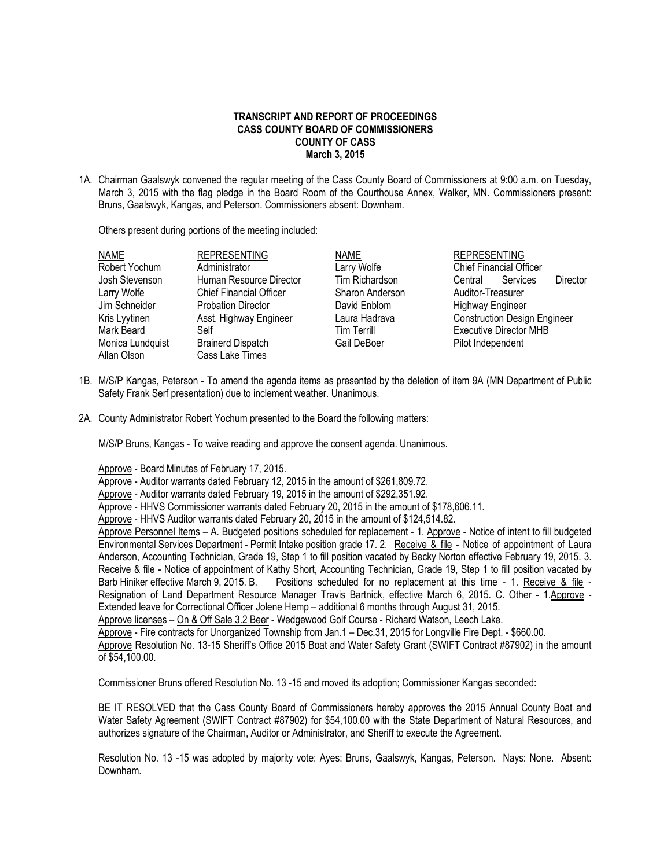## **TRANSCRIPT AND REPORT OF PROCEEDINGS CASS COUNTY BOARD OF COMMISSIONERS COUNTY OF CASS March 3, 2015**

1A. Chairman Gaalswyk convened the regular meeting of the Cass County Board of Commissioners at 9:00 a.m. on Tuesday, March 3, 2015 with the flag pledge in the Board Room of the Courthouse Annex, Walker, MN. Commissioners present: Bruns, Gaalswyk, Kangas, and Peterson. Commissioners absent: Downham.

Others present during portions of the meeting included:

| <b>NAME</b>      | <b>REPRESENTING</b>            | <b>NAME</b>        | <b>REPRESENTING</b>                 |
|------------------|--------------------------------|--------------------|-------------------------------------|
| Robert Yochum    | Administrator                  | Larry Wolfe        | <b>Chief Financial Officer</b>      |
| Josh Stevenson   | Human Resource Director        | Tim Richardson     | Services<br>Director<br>Central     |
| Larry Wolfe      | <b>Chief Financial Officer</b> | Sharon Anderson    | Auditor-Treasurer                   |
| Jim Schneider    | <b>Probation Director</b>      | David Enblom       | <b>Highway Engineer</b>             |
| Kris Lyytinen    | Asst. Highway Engineer         | Laura Hadrava      | <b>Construction Design Engineer</b> |
| Mark Beard       | Self                           | <b>Tim Terrill</b> | <b>Executive Director MHB</b>       |
| Monica Lundquist | <b>Brainerd Dispatch</b>       | Gail DeBoer        | Pilot Independent                   |
| Allan Olson      | Cass Lake Times                |                    |                                     |
|                  |                                |                    |                                     |

- 1B. M/S/P Kangas, Peterson To amend the agenda items as presented by the deletion of item 9A (MN Department of Public Safety Frank Serf presentation) due to inclement weather. Unanimous.
- 2A. County Administrator Robert Yochum presented to the Board the following matters:

M/S/P Bruns, Kangas - To waive reading and approve the consent agenda. Unanimous.

Approve - Board Minutes of February 17, 2015.

Approve - Auditor warrants dated February 12, 2015 in the amount of \$261,809.72.

Approve - Auditor warrants dated February 19, 2015 in the amount of \$292,351.92.

Approve - HHVS Commissioner warrants dated February 20, 2015 in the amount of \$178,606.11.

Approve - HHVS Auditor warrants dated February 20, 2015 in the amount of \$124,514.82.

Approve Personnel Items – A. Budgeted positions scheduled for replacement - 1. Approve - Notice of intent to fill budgeted Environmental Services Department - Permit Intake position grade 17. 2. Receive & file - Notice of appointment of Laura Anderson, Accounting Technician, Grade 19, Step 1 to fill position vacated by Becky Norton effective February 19, 2015. 3. Receive & file - Notice of appointment of Kathy Short, Accounting Technician, Grade 19, Step 1 to fill position vacated by Barb Hiniker effective March 9, 2015. B. Positions scheduled for no replacement at this time - 1. Receive & file - Resignation of Land Department Resource Manager Travis Bartnick, effective March 6, 2015. C. Other - 1.Approve - Extended leave for Correctional Officer Jolene Hemp – additional 6 months through August 31, 2015.

Approve licenses - On & Off Sale 3.2 Beer - Wedgewood Golf Course - Richard Watson, Leech Lake.

Approve - Fire contracts for Unorganized Township from Jan.1 – Dec.31, 2015 for Longville Fire Dept. - \$660.00.

Approve Resolution No. 13-15 Sheriff's Office 2015 Boat and Water Safety Grant (SWIFT Contract #87902) in the amount of \$54,100.00.

Commissioner Bruns offered Resolution No. 13 -15 and moved its adoption; Commissioner Kangas seconded:

BE IT RESOLVED that the Cass County Board of Commissioners hereby approves the 2015 Annual County Boat and Water Safety Agreement (SWIFT Contract #87902) for \$54,100.00 with the State Department of Natural Resources, and authorizes signature of the Chairman, Auditor or Administrator, and Sheriff to execute the Agreement.

Resolution No. 13 -15 was adopted by majority vote: Ayes: Bruns, Gaalswyk, Kangas, Peterson. Nays: None. Absent: Downham.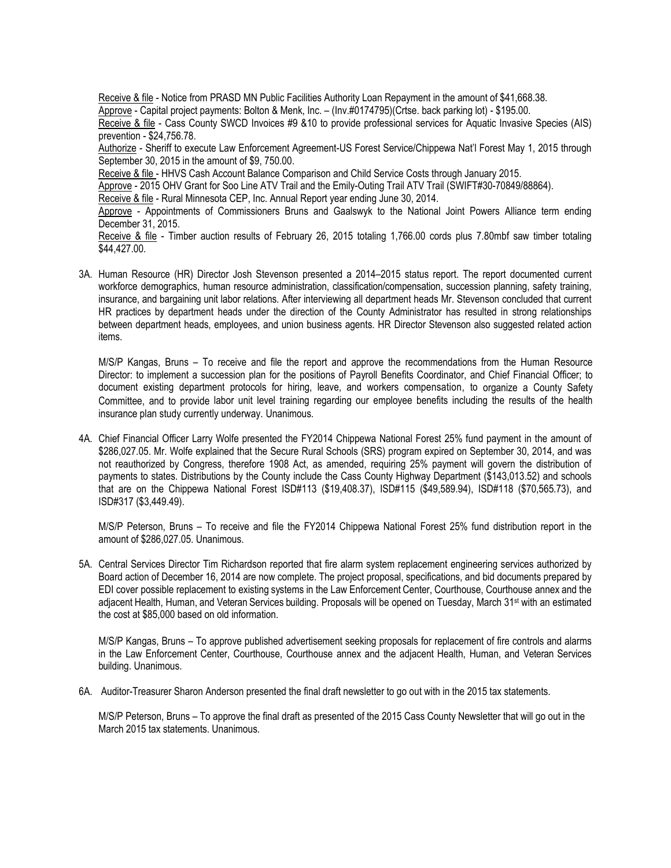Receive & file - Notice from PRASD MN Public Facilities Authority Loan Repayment in the amount of \$41,668.38. Approve - Capital project payments: Bolton & Menk, Inc. – (Inv.#0174795)(Crtse. back parking lot) - \$195.00. Receive & file - Cass County SWCD Invoices #9 &10 to provide professional services for Aquatic Invasive Species (AIS) prevention - \$24,756.78. Authorize - Sheriff to execute Law Enforcement Agreement-US Forest Service/Chippewa Nat'l Forest May 1, 2015 through September 30, 2015 in the amount of \$9, 750.00. Receive & file - HHVS Cash Account Balance Comparison and Child Service Costs through January 2015. Approve - 2015 OHV Grant for Soo Line ATV Trail and the Emily-Outing Trail ATV Trail (SWIFT#30-70849/88864). Receive & file - Rural Minnesota CEP, Inc. Annual Report year ending June 30, 2014. Approve - Appointments of Commissioners Bruns and Gaalswyk to the National Joint Powers Alliance term ending December 31, 2015. Receive & file - Timber auction results of February 26, 2015 totaling 1,766.00 cords plus 7.80mbf saw timber totaling \$44,427.00.

3A. Human Resource (HR) Director Josh Stevenson presented a 2014–2015 status report. The report documented current workforce demographics, human resource administration, classification/compensation, succession planning, safety training, insurance, and bargaining unit labor relations. After interviewing all department heads Mr. Stevenson concluded that current HR practices by department heads under the direction of the County Administrator has resulted in strong relationships between department heads, employees, and union business agents. HR Director Stevenson also suggested related action items.

M/S/P Kangas, Bruns – To receive and file the report and approve the recommendations from the Human Resource Director: to implement a succession plan for the positions of Payroll Benefits Coordinator, and Chief Financial Officer; to document existing department protocols for hiring, leave, and workers compensation, to organize a County Safety Committee, and to provide labor unit level training regarding our employee benefits including the results of the health insurance plan study currently underway. Unanimous.

4A. Chief Financial Officer Larry Wolfe presented the FY2014 Chippewa National Forest 25% fund payment in the amount of \$286,027.05. Mr. Wolfe explained that the Secure Rural Schools (SRS) program expired on September 30, 2014, and was not reauthorized by Congress, therefore 1908 Act, as amended, requiring 25% payment will govern the distribution of payments to states. Distributions by the County include the Cass County Highway Department (\$143,013.52) and schools that are on the Chippewa National Forest ISD#113 (\$19,408.37), ISD#115 (\$49,589.94), ISD#118 (\$70,565.73), and ISD#317 (\$3,449.49).

M/S/P Peterson, Bruns – To receive and file the FY2014 Chippewa National Forest 25% fund distribution report in the amount of \$286,027.05. Unanimous.

5A. Central Services Director Tim Richardson reported that fire alarm system replacement engineering services authorized by Board action of December 16, 2014 are now complete. The project proposal, specifications, and bid documents prepared by EDI cover possible replacement to existing systems in the Law Enforcement Center, Courthouse, Courthouse annex and the adjacent Health, Human, and Veteran Services building. Proposals will be opened on Tuesday, March 31<sup>st</sup> with an estimated the cost at \$85,000 based on old information.

M/S/P Kangas, Bruns – To approve published advertisement seeking proposals for replacement of fire controls and alarms in the Law Enforcement Center, Courthouse, Courthouse annex and the adjacent Health, Human, and Veteran Services building. Unanimous.

6A. Auditor-Treasurer Sharon Anderson presented the final draft newsletter to go out with in the 2015 tax statements.

M/S/P Peterson, Bruns – To approve the final draft as presented of the 2015 Cass County Newsletter that will go out in the March 2015 tax statements. Unanimous.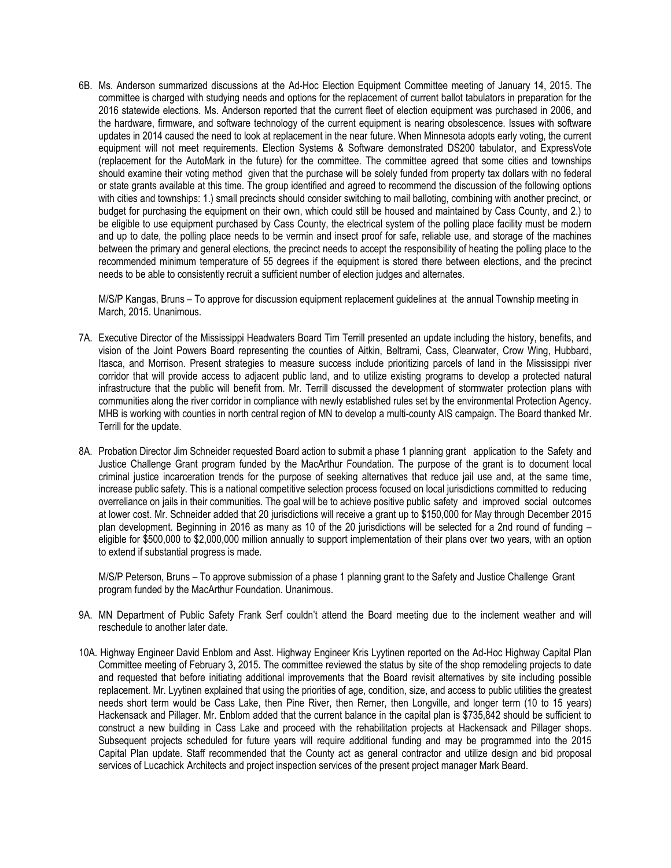6B. Ms. Anderson summarized discussions at the Ad-Hoc Election Equipment Committee meeting of January 14, 2015. The committee is charged with studying needs and options for the replacement of current ballot tabulators in preparation for the 2016 statewide elections. Ms. Anderson reported that the current fleet of election equipment was purchased in 2006, and the hardware, firmware, and software technology of the current equipment is nearing obsolescence. Issues with software updates in 2014 caused the need to look at replacement in the near future. When Minnesota adopts early voting, the current equipment will not meet requirements. Election Systems & Software demonstrated DS200 tabulator, and ExpressVote (replacement for the AutoMark in the future) for the committee. The committee agreed that some cities and townships should examine their voting method given that the purchase will be solely funded from property tax dollars with no federal or state grants available at this time. The group identified and agreed to recommend the discussion of the following options with cities and townships: 1.) small precincts should consider switching to mail balloting, combining with another precinct, or budget for purchasing the equipment on their own, which could still be housed and maintained by Cass County, and 2.) to be eligible to use equipment purchased by Cass County, the electrical system of the polling place facility must be modern and up to date, the polling place needs to be vermin and insect proof for safe, reliable use, and storage of the machines between the primary and general elections, the precinct needs to accept the responsibility of heating the polling place to the recommended minimum temperature of 55 degrees if the equipment is stored there between elections, and the precinct needs to be able to consistently recruit a sufficient number of election judges and alternates.

M/S/P Kangas, Bruns – To approve for discussion equipment replacement guidelines at the annual Township meeting in March, 2015. Unanimous.

- 7A. Executive Director of the Mississippi Headwaters Board Tim Terrill presented an update including the history, benefits, and vision of the Joint Powers Board representing the counties of Aitkin, Beltrami, Cass, Clearwater, Crow Wing, Hubbard, Itasca, and Morrison. Present strategies to measure success include prioritizing parcels of land in the Mississippi river corridor that will provide access to adjacent public land, and to utilize existing programs to develop a protected natural infrastructure that the public will benefit from. Mr. Terrill discussed the development of stormwater protection plans with communities along the river corridor in compliance with newly established rules set by the environmental Protection Agency. MHB is working with counties in north central region of MN to develop a multi-county AIS campaign. The Board thanked Mr. Terrill for the update.
- 8A. Probation Director Jim Schneider requested Board action to submit a phase 1 planning grant application to the Safety and Justice Challenge Grant program funded by the MacArthur Foundation. The purpose of the grant is to document local criminal justice incarceration trends for the purpose of seeking alternatives that reduce jail use and, at the same time, increase public safety. This is a national competitive selection process focused on local jurisdictions committed to reducing overreliance on jails in their communities. The goal will be to achieve positive public safety and improved social outcomes at lower cost. Mr. Schneider added that 20 jurisdictions will receive a grant up to \$150,000 for May through December 2015 plan development. Beginning in 2016 as many as 10 of the 20 jurisdictions will be selected for a 2nd round of funding – eligible for \$500,000 to \$2,000,000 million annually to support implementation of their plans over two years, with an option to extend if substantial progress is made.

M/S/P Peterson, Bruns – To approve submission of a phase 1 planning grant to the Safety and Justice Challenge Grant program funded by the MacArthur Foundation. Unanimous.

- 9A. MN Department of Public Safety Frank Serf couldn't attend the Board meeting due to the inclement weather and will reschedule to another later date.
- 10A. Highway Engineer David Enblom and Asst. Highway Engineer Kris Lyytinen reported on the Ad-Hoc Highway Capital Plan Committee meeting of February 3, 2015. The committee reviewed the status by site of the shop remodeling projects to date and requested that before initiating additional improvements that the Board revisit alternatives by site including possible replacement. Mr. Lyytinen explained that using the priorities of age, condition, size, and access to public utilities the greatest needs short term would be Cass Lake, then Pine River, then Remer, then Longville, and longer term (10 to 15 years) Hackensack and Pillager. Mr. Enblom added that the current balance in the capital plan is \$735,842 should be sufficient to construct a new building in Cass Lake and proceed with the rehabilitation projects at Hackensack and Pillager shops. Subsequent projects scheduled for future years will require additional funding and may be programmed into the 2015 Capital Plan update. Staff recommended that the County act as general contractor and utilize design and bid proposal services of Lucachick Architects and project inspection services of the present project manager Mark Beard.